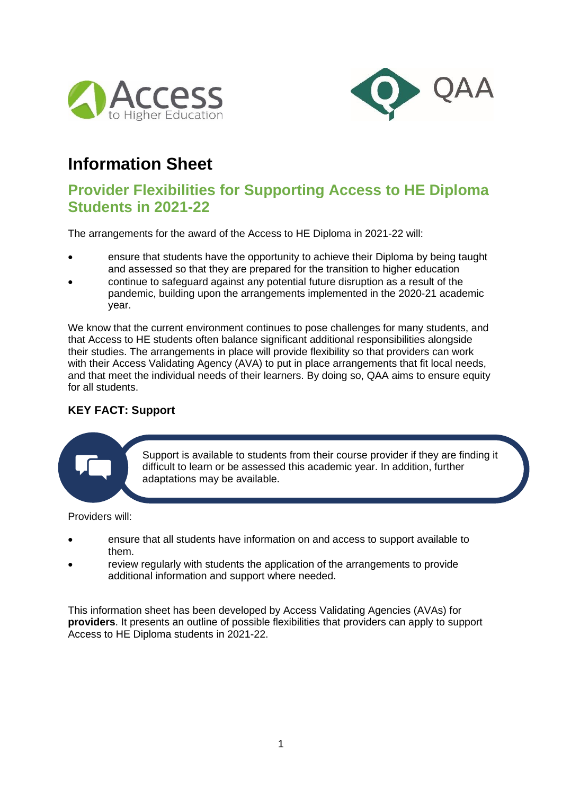



# **Information Sheet**

## **Provider Flexibilities for Supporting Access to HE Diploma Students in 2021-22**

The arrangements for the award of the Access to HE Diploma in 2021-22 will:

- ensure that students have the opportunity to achieve their Diploma by being taught and assessed so that they are prepared for the transition to higher education
- continue to safeguard against any potential future disruption as a result of the pandemic, building upon the arrangements implemented in the 2020-21 academic year.

We know that the current environment continues to pose challenges for many students, and that Access to HE students often balance significant additional responsibilities alongside their studies. The arrangements in place will provide flexibility so that providers can work with their Access Validating Agency (AVA) to put in place arrangements that fit local needs, and that meet the individual needs of their learners. By doing so, QAA aims to ensure equity for all students.

## **KEY FACT: Support**

Support is available to students from their course provider if they are finding it difficult to learn or be assessed this academic year. In addition, further adaptations may be available.

Providers will:

- ensure that all students have information on and access to support available to them.
- review regularly with students the application of the arrangements to provide additional information and support where needed.

This information sheet has been developed by Access Validating Agencies (AVAs) for **providers**. It presents an outline of possible flexibilities that providers can apply to support Access to HE Diploma students in 2021-22.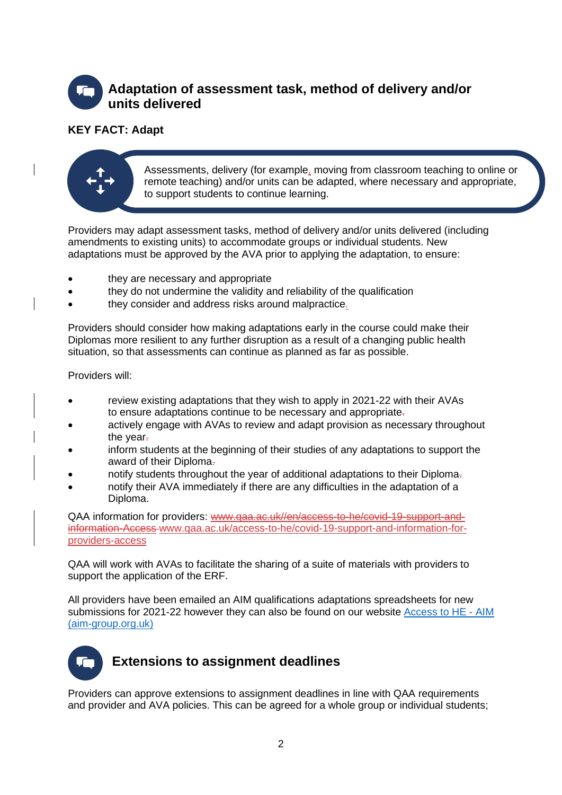# **Adaptation of assessment task, method of delivery and/or units delivered**

## **KEY FACT: Adapt**



Assessments, delivery (for example, moving from classroom teaching to online or remote teaching) and/or units can be adapted, where necessary and appropriate, to support students to continue learning.

Providers may adapt assessment tasks, method of delivery and/or units delivered (including amendments to existing units) to accommodate groups or individual students. New adaptations must be approved by the AVA prior to applying the adaptation, to ensure:

- they are necessary and appropriate
- they do not undermine the validity and reliability of the qualification
- they consider and address risks around malpractice.

Providers should consider how making adaptations early in the course could make their Diplomas more resilient to any further disruption as a result of a changing public health situation, so that assessments can continue as planned as far as possible.

Providers will:

- review existing adaptations that they wish to apply in 2021-22 with their AVAs to ensure adaptations continue to be necessary and appropriate.
- actively engage with AVAs to review and adapt provision as necessary throughout the year-
- inform students at the beginning of their studies of any adaptations to support the award of their Diploma-
- notify students throughout the year of additional adaptations to their Diploma.
- notify their AVA immediately if there are any difficulties in the adaptation of a Diploma.

QAA information for providers: www.qaa.ac.uk//en/access-to-he/covid-19-support-andinformation-Access [www.qaa.ac.uk/access-to-he/covid-19-support-and-information-for](http://www.qaa.ac.uk/access-to-he/covid-19-support-and-information-for-providers-access)[providers-access](http://www.qaa.ac.uk/access-to-he/covid-19-support-and-information-for-providers-access)

QAA will work with AVAs to facilitate the sharing of a suite of materials with providers to support the application of the ERF.

All providers have been emailed an AIM qualifications adaptations spreadsheets for new submissions for 2021-22 however they can also be found on our website [Access to HE -](https://www.aim-group.org.uk/services/aim-qualifications/centres/covid-19/access-to-he/) AIM [\(aim-group.org.uk\)](https://www.aim-group.org.uk/services/aim-qualifications/centres/covid-19/access-to-he/)

# **Extensions to assignment deadlines**

Providers can approve extensions to assignment deadlines in line with QAA requirements and provider and AVA policies. This can be agreed for a whole group or individual students;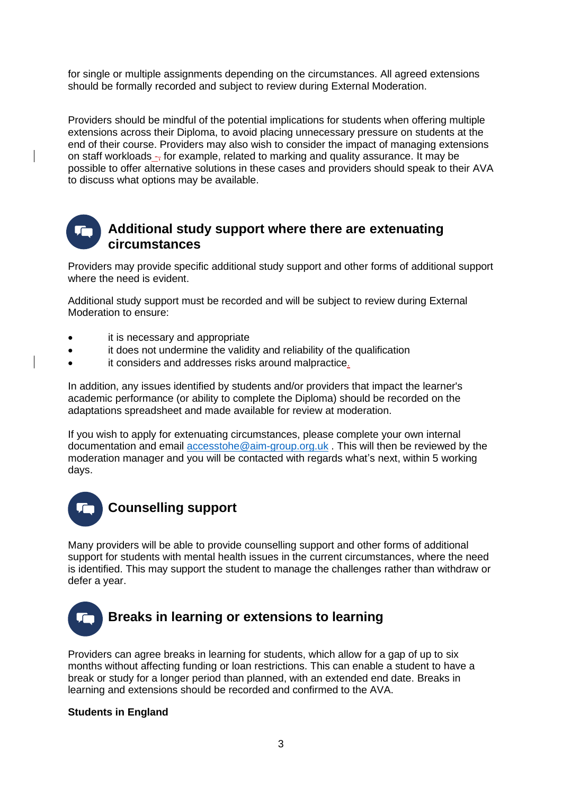for single or multiple assignments depending on the circumstances. All agreed extensions should be formally recorded and subject to review during External Moderation.

Providers should be mindful of the potential implications for students when offering multiple extensions across their Diploma, to avoid placing unnecessary pressure on students at the end of their course. Providers may also wish to consider the impact of managing extensions on staff workloads  $-$ , for example, related to marking and quality assurance. It may be possible to offer alternative solutions in these cases and providers should speak to their AVA to discuss what options may be available.

## **Additional study support where there are extenuating circumstances**

Providers may provide specific additional study support and other forms of additional support where the need is evident.

Additional study support must be recorded and will be subject to review during External Moderation to ensure:

- it is necessary and appropriate
- it does not undermine the validity and reliability of the qualification
- it considers and addresses risks around malpractice.

In addition, any issues identified by students and/or providers that impact the learner's academic performance (or ability to complete the Diploma) should be recorded on the adaptations spreadsheet and made available for review at moderation.

If you wish to apply for extenuating circumstances, please complete your own internal documentation and email [accesstohe@aim-group.org.uk](mailto:accesstohe@aim-group.org.uk) . This will then be reviewed by the moderation manager and you will be contacted with regards what's next, within 5 working days.



Many providers will be able to provide counselling support and other forms of additional support for students with mental health issues in the current circumstances, where the need is identified. This may support the student to manage the challenges rather than withdraw or defer a year.



Providers can agree breaks in learning for students, which allow for a gap of up to six months without affecting funding or loan restrictions. This can enable a student to have a break or study for a longer period than planned, with an extended end date. Breaks in learning and extensions should be recorded and confirmed to the AVA.

#### **Students in England**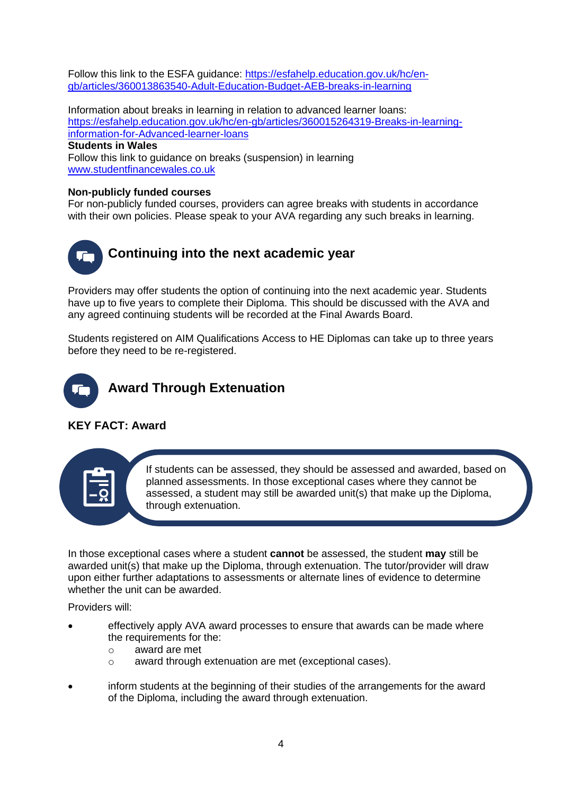Follow this link to the ESFA guidance: [https://esfahelp.education.gov.uk/hc/en](https://esfahelp.education.gov.uk/hc/en-gb/articles/360013863540-Adult-Education-Budget-AEB-breaks-in-learning)[gb/articles/360013863540-Adult-Education-Budget-AEB-breaks-in-learning](https://esfahelp.education.gov.uk/hc/en-gb/articles/360013863540-Adult-Education-Budget-AEB-breaks-in-learning)

Information about breaks in learning in relation to advanced learner loans: [https://esfahelp.education.gov.uk/hc/en-gb/articles/360015264319-Breaks-in-learning](https://esfahelp.education.gov.uk/hc/en-gb/articles/360015264319-Breaks-in-learning-information-for-Advanced-learner-loans)[information-for-Advanced-learner-loans](https://esfahelp.education.gov.uk/hc/en-gb/articles/360015264319-Breaks-in-learning-information-for-Advanced-learner-loans)

### **Students in Wales**

Follow this link to guidance on breaks (suspension) in learning [www.studentfinancewales.co.uk](https://www.studentfinancewales.co.uk/)

#### **Non-publicly funded courses**

For non-publicly funded courses, providers can agree breaks with students in accordance with their own policies. Please speak to your AVA regarding any such breaks in learning.



Providers may offer students the option of continuing into the next academic year. Students have up to five years to complete their Diploma. This should be discussed with the AVA and any agreed continuing students will be recorded at the Final Awards Board.

Students registered on AIM Qualifications Access to HE Diplomas can take up to three years before they need to be re-registered.



## **KEY FACT: Award**



If students can be assessed, they should be assessed and awarded, based on planned assessments. In those exceptional cases where they cannot be assessed, a student may still be awarded unit(s) that make up the Diploma, through extenuation.

In those exceptional cases where a student **cannot** be assessed, the student **may** still be awarded unit(s) that make up the Diploma, through extenuation. The tutor/provider will draw upon either further adaptations to assessments or alternate lines of evidence to determine whether the unit can be awarded.

Providers will:

- effectively apply AVA award processes to ensure that awards can be made where the requirements for the:
	- o award are met
	- o award through extenuation are met (exceptional cases).
- inform students at the beginning of their studies of the arrangements for the award of the Diploma, including the award through extenuation.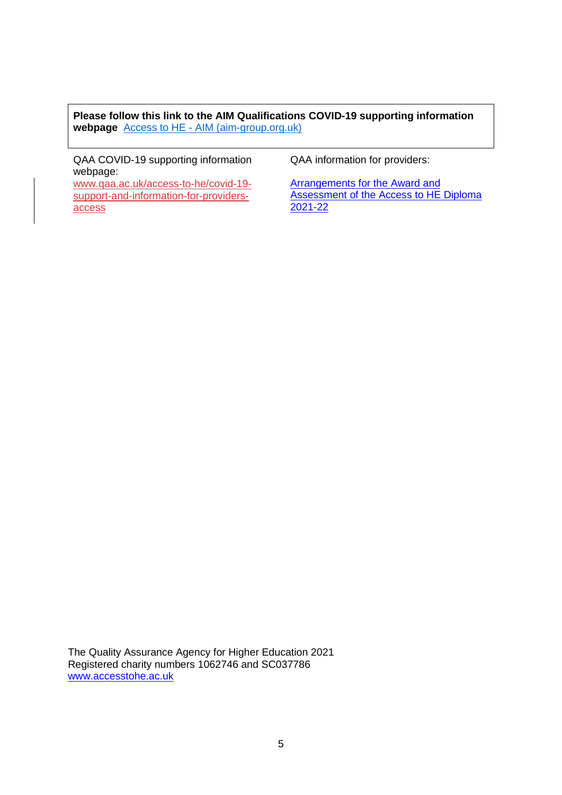**Please follow this link to the AIM Qualifications COVID-19 supporting information webpage** Access to HE - [AIM \(aim-group.org.uk\)](https://www.aim-group.org.uk/services/aim-qualifications/centres/covid-19/access-to-he/)

QAA COVID-19 supporting information webpage:

[www.qaa.ac.uk/access-to-he/covid-19](http://www.qaa.ac.uk/access-to-he/covid-19-support-and-information-for-providers-access) [support-and-information-for-providers](http://www.qaa.ac.uk/access-to-he/covid-19-support-and-information-for-providers-access)[access](http://www.qaa.ac.uk/access-to-he/covid-19-support-and-information-for-providers-access)

QAA information for providers:

[Arrangements for the Award and](https://www.qaa.ac.uk/en/access-to-he/covid-19-support-and-information-for-providers-access)  [Assessment of the Access to HE Diploma](https://www.qaa.ac.uk/en/access-to-he/covid-19-support-and-information-for-providers-access)  [2021-22](https://www.qaa.ac.uk/en/access-to-he/covid-19-support-and-information-for-providers-access)

The Quality Assurance Agency for Higher Education 2021 Registered charity numbers 1062746 and SC037786 [www.accesstohe.ac.uk](file:///C:/Users/Sally/Downloads/www.accesstohe.ac.uk)